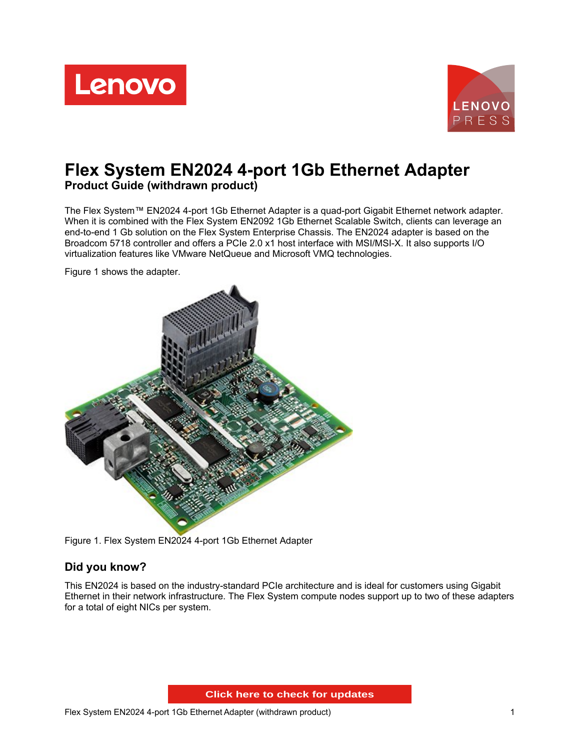



# **Flex System EN2024 4-port 1Gb Ethernet Adapter Product Guide (withdrawn product)**

The Flex System™ EN2024 4-port 1Gb Ethernet Adapter is a quad-port Gigabit Ethernet network adapter. When it is combined with the Flex System EN2092 1Gb Ethernet Scalable Switch, clients can leverage an end-to-end 1 Gb solution on the Flex System Enterprise Chassis. The EN2024 adapter is based on the Broadcom 5718 controller and offers a PCIe 2.0 x1 host interface with MSI/MSI-X. It also supports I/O virtualization features like VMware NetQueue and Microsoft VMQ technologies.

Figure 1 shows the adapter.



Figure 1. Flex System EN2024 4-port 1Gb Ethernet Adapter

#### **Did you know?**

This EN2024 is based on the industry-standard PCIe architecture and is ideal for customers using Gigabit Ethernet in their network infrastructure. The Flex System compute nodes support up to two of these adapters for a total of eight NICs per system.

**Click here to check for updates**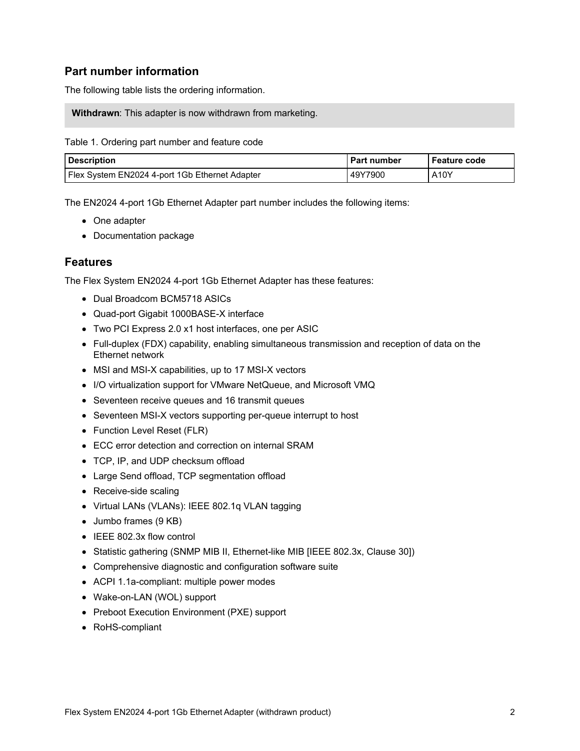### **Part number information**

The following table lists the ordering information.

**Withdrawn**: This adapter is now withdrawn from marketing.

#### Table 1. Ordering part number and feature code

| <b>Description</b>                               | <b>Part number</b> | <b>Feature code</b> |
|--------------------------------------------------|--------------------|---------------------|
| I Flex System EN2024 4-port 1Gb Ethernet Adapter | 49Y7900            | A10Y                |

The EN2024 4-port 1Gb Ethernet Adapter part number includes the following items:

- One adapter
- Documentation package

#### **Features**

The Flex System EN2024 4-port 1Gb Ethernet Adapter has these features:

- Dual Broadcom BCM5718 ASICs
- Quad-port Gigabit 1000BASE-X interface
- Two PCI Express 2.0 x1 host interfaces, one per ASIC
- Full-duplex (FDX) capability, enabling simultaneous transmission and reception of data on the Ethernet network
- MSI and MSI-X capabilities, up to 17 MSI-X vectors
- I/O virtualization support for VMware NetQueue, and Microsoft VMQ
- Seventeen receive queues and 16 transmit queues
- Seventeen MSI-X vectors supporting per-queue interrupt to host
- Function Level Reset (FLR)
- ECC error detection and correction on internal SRAM
- TCP, IP, and UDP checksum offload
- Large Send offload, TCP segmentation offload
- Receive-side scaling
- Virtual LANs (VLANs): IEEE 802.1q VLAN tagging
- Jumbo frames (9 KB)
- IEEE 802.3x flow control
- Statistic gathering (SNMP MIB II, Ethernet-like MIB [IEEE 802.3x, Clause 30])
- Comprehensive diagnostic and configuration software suite
- ACPI 1.1a-compliant: multiple power modes
- Wake-on-LAN (WOL) support
- Preboot Execution Environment (PXE) support
- RoHS-compliant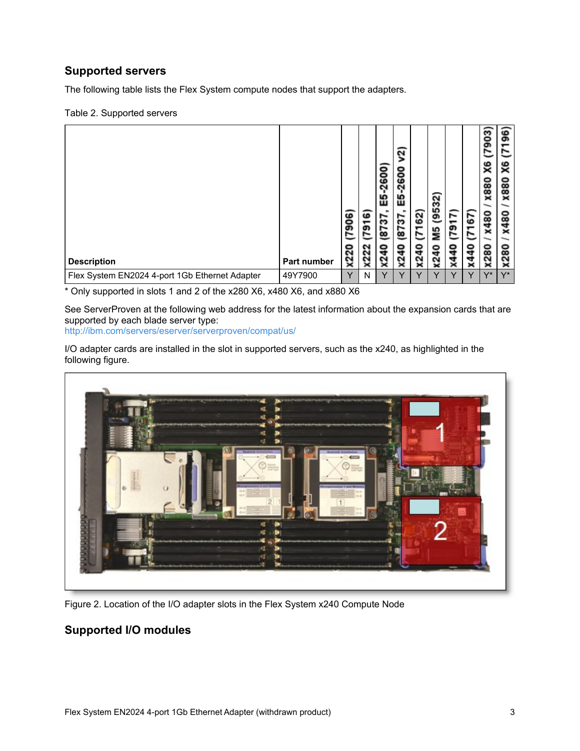## **Supported servers**

The following table lists the Flex System compute nodes that support the adapters.

#### Table 2. Supported servers

| <b>Description</b>                             | Part number | ဖ<br>္တ<br>o<br>x22 | ဖ<br>791<br><b>X222</b> | ۰<br>ဒ္ဓ<br>ິ<br>ທ<br>ш<br>້ຕ<br>5<br>ō<br>ຼ | $\overline{\mathbf{c}}$<br>-2600<br>忠<br>52<br>5<br>o<br>ਧ<br>Χ2 | 62)<br>∼<br>0<br>q<br>2<br>× | 32<br>5<br>G<br>٩R<br>o<br>4<br>$x^2$ | r<br>הס<br>o<br>₹ | 55<br>o<br>q<br>प<br>× | 7903<br>X6<br><b>X880</b><br>x480<br><b>X280</b> | ۵٥<br>S<br><b>X880</b><br>x480<br>ຘ<br>ຼ<br>× |
|------------------------------------------------|-------------|---------------------|-------------------------|----------------------------------------------|------------------------------------------------------------------|------------------------------|---------------------------------------|-------------------|------------------------|--------------------------------------------------|-----------------------------------------------|
| Flex System EN2024 4-port 1Gb Ethernet Adapter | 49Y7900     | $\checkmark$        | N                       | $\vee$                                       | $\checkmark$                                                     | $\checkmark$                 | v                                     | $\checkmark$      | $\checkmark$           | $V^*$                                            | $V^*$                                         |

\* Only supported in slots 1 and 2 of the x280 X6, x480 X6, and x880 X6

See ServerProven at the following web address for the latest information about the expansion cards that are supported by each blade server type:

<http://ibm.com/servers/eserver/serverproven/compat/us/>

I/O adapter cards are installed in the slot in supported servers, such as the x240, as highlighted in the following figure.



Figure 2. Location of the I/O adapter slots in the Flex System x240 Compute Node

## **Supported I/O modules**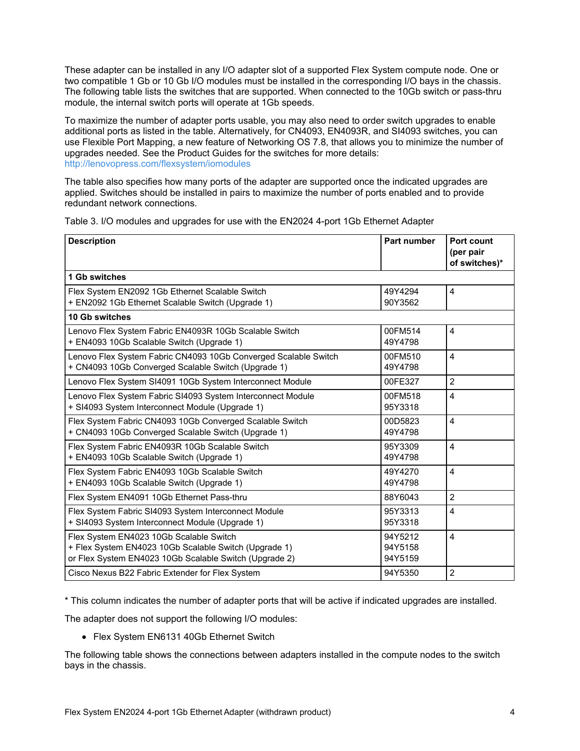These adapter can be installed in any I/O adapter slot of a supported Flex System compute node. One or two compatible 1 Gb or 10 Gb I/O modules must be installed in the corresponding I/O bays in the chassis. The following table lists the switches that are supported. When connected to the 10Gb switch or pass-thru module, the internal switch ports will operate at 1Gb speeds.

To maximize the number of adapter ports usable, you may also need to order switch upgrades to enable additional ports as listed in the table. Alternatively, for CN4093, EN4093R, and SI4093 switches, you can use Flexible Port Mapping, a new feature of Networking OS 7.8, that allows you to minimize the number of upgrades needed. See the Product Guides for the switches for more details: <http://lenovopress.com/flexsystem/iomodules>

The table also specifies how many ports of the adapter are supported once the indicated upgrades are applied. Switches should be installed in pairs to maximize the number of ports enabled and to provide redundant network connections.

| <b>Description</b>                                                                                                                                         | <b>Part number</b>            | Port count<br>(per pair<br>of switches)* |
|------------------------------------------------------------------------------------------------------------------------------------------------------------|-------------------------------|------------------------------------------|
| 1 Gb switches                                                                                                                                              |                               |                                          |
| Flex System EN2092 1Gb Ethernet Scalable Switch<br>+ EN2092 1Gb Ethernet Scalable Switch (Upgrade 1)                                                       | 49Y4294<br>90Y3562            | 4                                        |
| 10 Gb switches                                                                                                                                             |                               |                                          |
| Lenovo Flex System Fabric EN4093R 10Gb Scalable Switch<br>+ EN4093 10Gb Scalable Switch (Upgrade 1)                                                        | 00FM514<br>49Y4798            | 4                                        |
| Lenovo Flex System Fabric CN4093 10Gb Converged Scalable Switch<br>+ CN4093 10Gb Converged Scalable Switch (Upgrade 1)                                     | 00FM510<br>49Y4798            | $\overline{4}$                           |
| Lenovo Flex System SI4091 10Gb System Interconnect Module                                                                                                  | 00FE327                       | $\overline{2}$                           |
| Lenovo Flex System Fabric SI4093 System Interconnect Module<br>+ SI4093 System Interconnect Module (Upgrade 1)                                             | 00FM518<br>95Y3318            | $\overline{4}$                           |
| Flex System Fabric CN4093 10Gb Converged Scalable Switch<br>+ CN4093 10Gb Converged Scalable Switch (Upgrade 1)                                            | 00D5823<br>49Y4798            | $\overline{4}$                           |
| Flex System Fabric EN4093R 10Gb Scalable Switch<br>+ EN4093 10Gb Scalable Switch (Upgrade 1)                                                               | 95Y3309<br>49Y4798            | $\overline{4}$                           |
| Flex System Fabric EN4093 10Gb Scalable Switch<br>+ EN4093 10Gb Scalable Switch (Upgrade 1)                                                                | 49Y4270<br>49Y4798            | $\overline{4}$                           |
| Flex System EN4091 10Gb Ethernet Pass-thru                                                                                                                 | 88Y6043                       | 2                                        |
| Flex System Fabric SI4093 System Interconnect Module<br>+ SI4093 System Interconnect Module (Upgrade 1)                                                    | 95Y3313<br>95Y3318            | $\overline{4}$                           |
| Flex System EN4023 10Gb Scalable Switch<br>+ Flex System EN4023 10Gb Scalable Switch (Upgrade 1)<br>or Flex System EN4023 10Gb Scalable Switch (Upgrade 2) | 94Y5212<br>94Y5158<br>94Y5159 | $\overline{4}$                           |
| Cisco Nexus B22 Fabric Extender for Flex System                                                                                                            | 94Y5350                       | $\overline{2}$                           |

Table 3. I/O modules and upgrades for use with the EN2024 4-port 1Gb Ethernet Adapter

\* This column indicates the number of adapter ports that will be active if indicated upgrades are installed.

The adapter does not support the following I/O modules:

Flex System EN6131 40Gb Ethernet Switch

The following table shows the connections between adapters installed in the compute nodes to the switch bays in the chassis.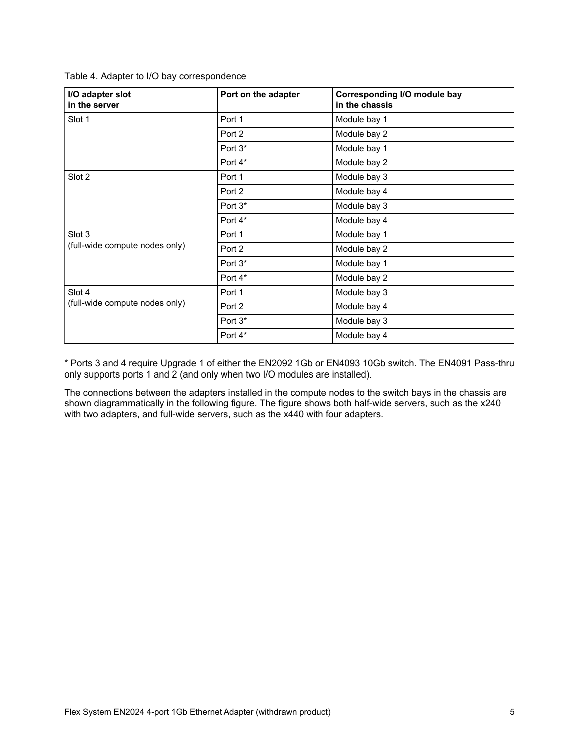Table 4. Adapter to I/O bay correspondence

| I/O adapter slot<br>in the server        | Port on the adapter | Corresponding I/O module bay<br>in the chassis |
|------------------------------------------|---------------------|------------------------------------------------|
| Slot 1                                   | Port 1              | Module bay 1                                   |
|                                          | Port 2              | Module bay 2                                   |
|                                          | Port 3*             | Module bay 1                                   |
|                                          | Port 4*             | Module bay 2                                   |
| Slot 2                                   | Port 1              | Module bay 3                                   |
|                                          | Port 2              | Module bay 4                                   |
|                                          | Port 3*             | Module bay 3                                   |
|                                          | Port 4*             | Module bay 4                                   |
| Slot 3<br>(full-wide compute nodes only) | Port 1              | Module bay 1                                   |
|                                          | Port 2              | Module bay 2                                   |
|                                          | Port 3*             | Module bay 1                                   |
|                                          | Port 4*             | Module bay 2                                   |
| Slot 4                                   | Port 1              | Module bay 3                                   |
| (full-wide compute nodes only)           | Port 2              | Module bay 4                                   |
|                                          | Port 3*             | Module bay 3                                   |
|                                          | Port 4*             | Module bay 4                                   |

\* Ports 3 and 4 require Upgrade 1 of either the EN2092 1Gb or EN4093 10Gb switch. The EN4091 Pass-thru only supports ports 1 and 2 (and only when two I/O modules are installed).

The connections between the adapters installed in the compute nodes to the switch bays in the chassis are shown diagrammatically in the following figure. The figure shows both half-wide servers, such as the x240 with two adapters, and full-wide servers, such as the x440 with four adapters.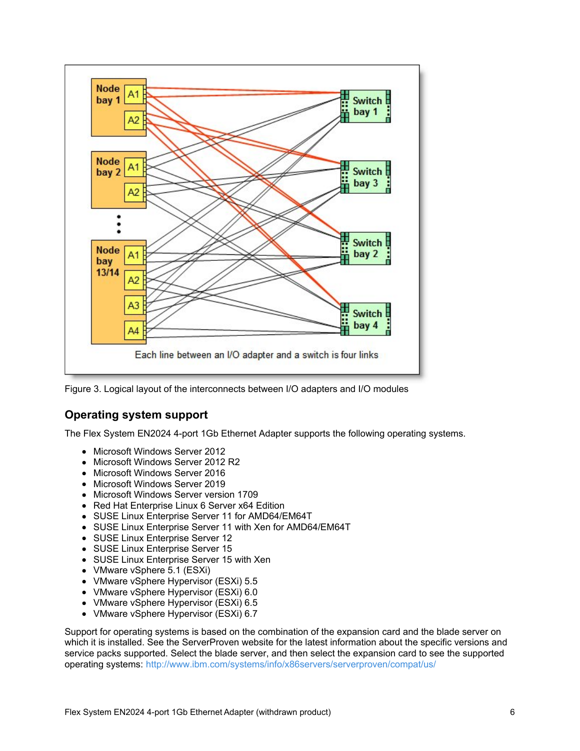

Figure 3. Logical layout of the interconnects between I/O adapters and I/O modules

#### **Operating system support**

The Flex System EN2024 4-port 1Gb Ethernet Adapter supports the following operating systems.

- Microsoft Windows Server 2012
- Microsoft Windows Server 2012 R2
- Microsoft Windows Server 2016
- Microsoft Windows Server 2019
- Microsoft Windows Server version 1709
- Red Hat Enterprise Linux 6 Server x64 Edition
- SUSE Linux Enterprise Server 11 for AMD64/EM64T
- SUSE Linux Enterprise Server 11 with Xen for AMD64/EM64T
- SUSE Linux Enterprise Server 12
- SUSE Linux Enterprise Server 15
- SUSE Linux Enterprise Server 15 with Xen
- VMware vSphere 5.1 (ESXi)
- VMware vSphere Hypervisor (ESXi) 5.5
- VMware vSphere Hypervisor (ESXi) 6.0
- VMware vSphere Hypervisor (ESXi) 6.5
- VMware vSphere Hypervisor (ESXi) 6.7

Support for operating systems is based on the combination of the expansion card and the blade server on which it is installed. See the ServerProven website for the latest information about the specific versions and service packs supported. Select the blade server, and then select the expansion card to see the supported operating systems: <http://www.ibm.com/systems/info/x86servers/serverproven/compat/us/>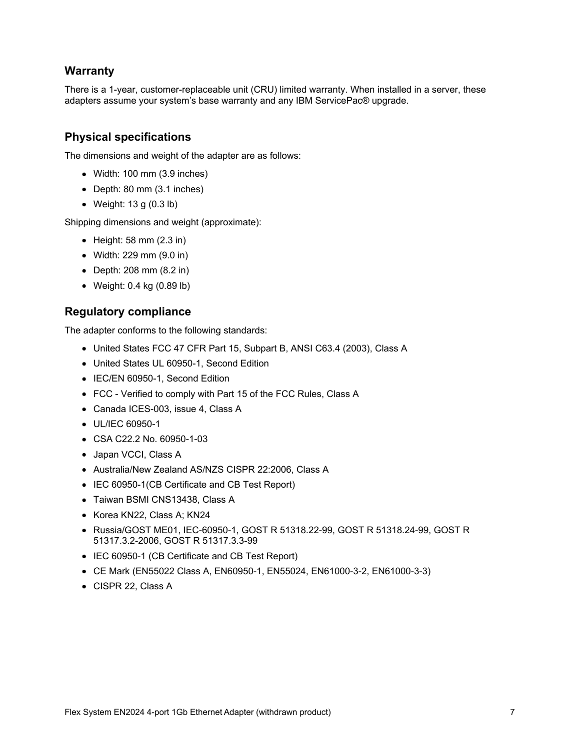#### **Warranty**

There is a 1-year, customer-replaceable unit (CRU) limited warranty. When installed in a server, these adapters assume your system's base warranty and any IBM ServicePac® upgrade.

#### **Physical specifications**

The dimensions and weight of the adapter are as follows:

- Width: 100 mm (3.9 inches)
- Depth: 80 mm (3.1 inches)
- Weight: 13 g (0.3 lb)

Shipping dimensions and weight (approximate):

- $\bullet$  Height: 58 mm (2.3 in)
- Width: 229 mm (9.0 in)
- Depth: 208 mm (8.2 in)
- Weight: 0.4 kg (0.89 lb)

#### **Regulatory compliance**

The adapter conforms to the following standards:

- United States FCC 47 CFR Part 15, Subpart B, ANSI C63.4 (2003), Class A
- United States UL 60950-1, Second Edition
- IEC/EN 60950-1, Second Edition
- FCC Verified to comply with Part 15 of the FCC Rules, Class A
- Canada ICES-003, issue 4, Class A
- UL/IEC 60950-1
- CSA C22.2 No. 60950-1-03
- Japan VCCI, Class A
- Australia/New Zealand AS/NZS CISPR 22:2006, Class A
- IEC 60950-1(CB Certificate and CB Test Report)
- Taiwan BSMI CNS13438, Class A
- Korea KN22, Class A; KN24
- Russia/GOST ME01, IEC-60950-1, GOST R 51318.22-99, GOST R 51318.24-99, GOST R 51317.3.2-2006, GOST R 51317.3.3-99
- IEC 60950-1 (CB Certificate and CB Test Report)
- CE Mark (EN55022 Class A, EN60950-1, EN55024, EN61000-3-2, EN61000-3-3)
- CISPR 22, Class A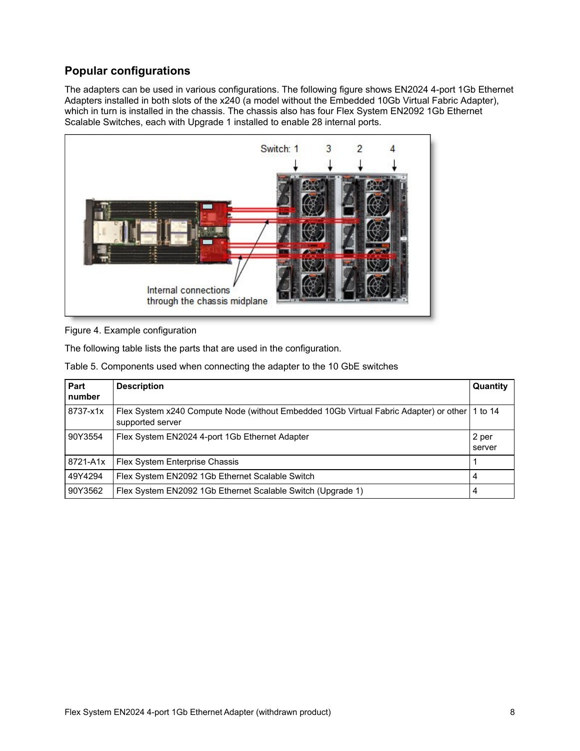# **Popular configurations**

The adapters can be used in various configurations. The following figure shows EN2024 4-port 1Gb Ethernet Adapters installed in both slots of the x240 (a model without the Embedded 10Gb Virtual Fabric Adapter), which in turn is installed in the chassis. The chassis also has four Flex System EN2092 1Gb Ethernet Scalable Switches, each with Upgrade 1 installed to enable 28 internal ports.



Figure 4. Example configuration

The following table lists the parts that are used in the configuration.

|  |  |  | Table 5. Components used when connecting the adapter to the 10 GbE switches |  |
|--|--|--|-----------------------------------------------------------------------------|--|
|  |  |  |                                                                             |  |

| Part<br>number | <b>Description</b>                                                                                                | Quantity        |
|----------------|-------------------------------------------------------------------------------------------------------------------|-----------------|
| 8737-x1x       | Flex System x240 Compute Node (without Embedded 10Gb Virtual Fabric Adapter) or other 1 to 14<br>supported server |                 |
| 90Y3554        | Flex System EN2024 4-port 1Gb Ethernet Adapter                                                                    | 2 per<br>server |
| 8721-A1x       | Flex System Enterprise Chassis                                                                                    |                 |
| 49Y4294        | Flex System EN2092 1Gb Ethernet Scalable Switch                                                                   | 4               |
| 90Y3562        | Flex System EN2092 1Gb Ethernet Scalable Switch (Upgrade 1)                                                       | 4               |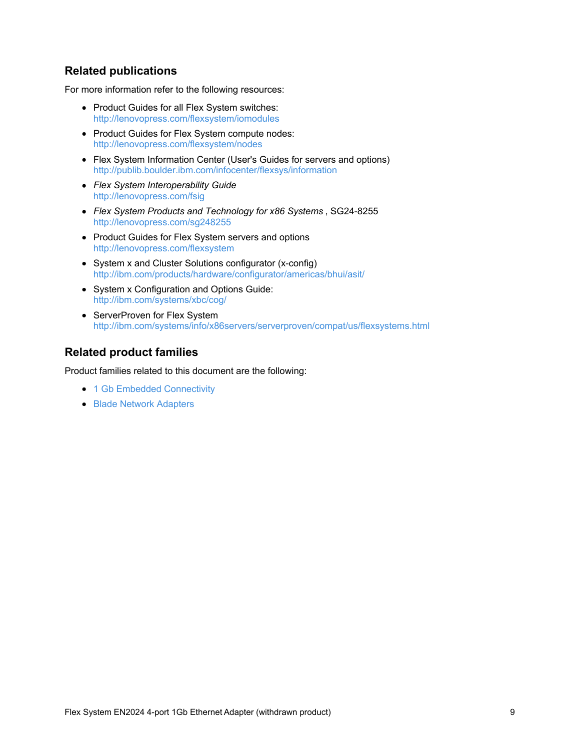#### **Related publications**

For more information refer to the following resources:

- Product Guides for all Flex System switches: <http://lenovopress.com/flexsystem/iomodules>
- Product Guides for Flex System compute nodes: <http://lenovopress.com/flexsystem/nodes>
- Flex System Information Center (User's Guides for servers and options) <http://publib.boulder.ibm.com/infocenter/flexsys/information>
- *Flex System Interoperability Guide* <http://lenovopress.com/fsig>
- *Flex System Products and Technology for x86 Systems* , SG24-8255 <http://lenovopress.com/sg248255>
- Product Guides for Flex System servers and options <http://lenovopress.com/flexsystem>
- System x and Cluster Solutions configurator (x-config) <http://ibm.com/products/hardware/configurator/americas/bhui/asit/>
- System x Configuration and Options Guide: <http://ibm.com/systems/xbc/cog/>
- ServerProven for Flex System [http://ibm.com/systems/info/x86servers/serverproven/compat/us/flexsystems.html](http://www-03.ibm.com/systems/info/x86servers/serverproven/compat/us/flexsystems.html)

#### **Related product families**

Product families related to this document are the following:

- 1 Gb Embedded [Connectivity](https://lenovopress.com/networking/embedded/1gb)
- **Blade Network [Adapters](https://lenovopress.com/servers/blades/nic)**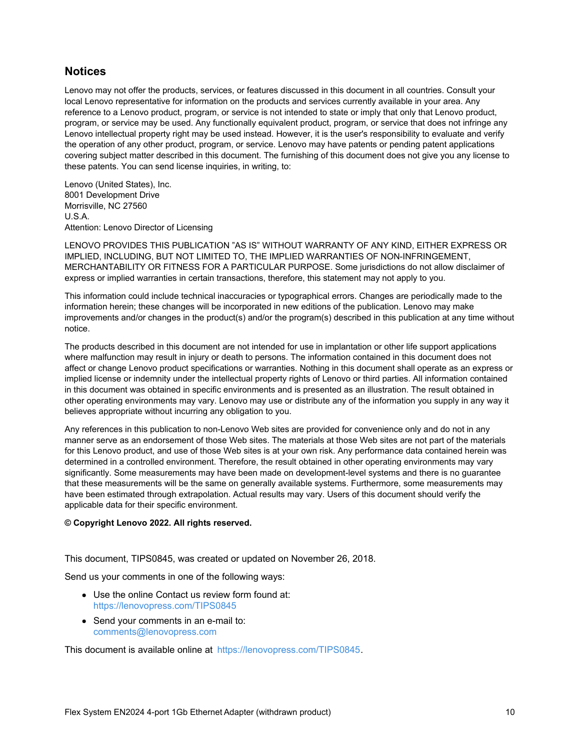#### **Notices**

Lenovo may not offer the products, services, or features discussed in this document in all countries. Consult your local Lenovo representative for information on the products and services currently available in your area. Any reference to a Lenovo product, program, or service is not intended to state or imply that only that Lenovo product, program, or service may be used. Any functionally equivalent product, program, or service that does not infringe any Lenovo intellectual property right may be used instead. However, it is the user's responsibility to evaluate and verify the operation of any other product, program, or service. Lenovo may have patents or pending patent applications covering subject matter described in this document. The furnishing of this document does not give you any license to these patents. You can send license inquiries, in writing, to:

Lenovo (United States), Inc. 8001 Development Drive Morrisville, NC 27560 U.S.A. Attention: Lenovo Director of Licensing

LENOVO PROVIDES THIS PUBLICATION "AS IS" WITHOUT WARRANTY OF ANY KIND, EITHER EXPRESS OR IMPLIED, INCLUDING, BUT NOT LIMITED TO, THE IMPLIED WARRANTIES OF NON-INFRINGEMENT, MERCHANTABILITY OR FITNESS FOR A PARTICULAR PURPOSE. Some jurisdictions do not allow disclaimer of express or implied warranties in certain transactions, therefore, this statement may not apply to you.

This information could include technical inaccuracies or typographical errors. Changes are periodically made to the information herein; these changes will be incorporated in new editions of the publication. Lenovo may make improvements and/or changes in the product(s) and/or the program(s) described in this publication at any time without notice.

The products described in this document are not intended for use in implantation or other life support applications where malfunction may result in injury or death to persons. The information contained in this document does not affect or change Lenovo product specifications or warranties. Nothing in this document shall operate as an express or implied license or indemnity under the intellectual property rights of Lenovo or third parties. All information contained in this document was obtained in specific environments and is presented as an illustration. The result obtained in other operating environments may vary. Lenovo may use or distribute any of the information you supply in any way it believes appropriate without incurring any obligation to you.

Any references in this publication to non-Lenovo Web sites are provided for convenience only and do not in any manner serve as an endorsement of those Web sites. The materials at those Web sites are not part of the materials for this Lenovo product, and use of those Web sites is at your own risk. Any performance data contained herein was determined in a controlled environment. Therefore, the result obtained in other operating environments may vary significantly. Some measurements may have been made on development-level systems and there is no guarantee that these measurements will be the same on generally available systems. Furthermore, some measurements may have been estimated through extrapolation. Actual results may vary. Users of this document should verify the applicable data for their specific environment.

#### **© Copyright Lenovo 2022. All rights reserved.**

This document, TIPS0845, was created or updated on November 26, 2018.

Send us your comments in one of the following ways:

- Use the online Contact us review form found at: <https://lenovopress.com/TIPS0845>
- Send your comments in an e-mail to: [comments@lenovopress.com](mailto:comments@lenovopress.com?subject=Feedback for TIPS0845)

This document is available online at <https://lenovopress.com/TIPS0845>.